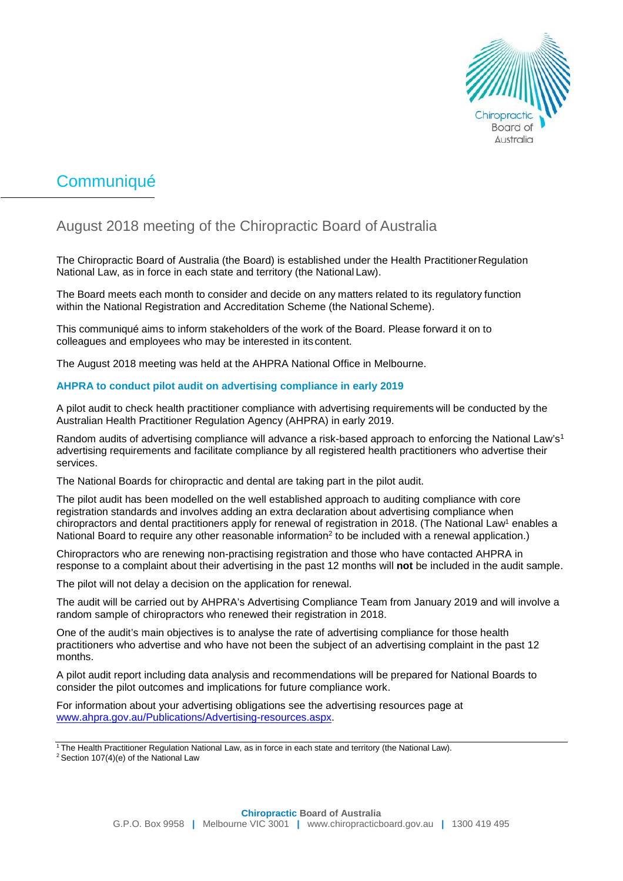

# **Communiqué**

# August 2018 meeting of the Chiropractic Board of Australia

The Chiropractic Board of Australia (the Board) is established under the Health PractitionerRegulation National Law, as in force in each state and territory (the National Law).

The Board meets each month to consider and decide on any matters related to its regulatory function within the National Registration and Accreditation Scheme (the National Scheme).

This communiqué aims to inform stakeholders of the work of the Board. Please forward it on to colleagues and employees who may be interested in its content.

The August 2018 meeting was held at the AHPRA National Office in Melbourne.

## **AHPRA to conduct pilot audit on advertising compliance in early 2019**

A pilot audit to check health practitioner compliance with advertising requirements will be conducted by the Australian Health Practitioner Regulation Agency (AHPRA) in early 2019.

Random audits of advertising compliance will advance a risk-based approach to enforcing the National Law's<sup>1</sup> advertising requirements and facilitate compliance by all registered health practitioners who advertise their services.

The National Boards for chiropractic and dental are taking part in the pilot audit.

The pilot audit has been modelled on the well established approach to auditing compliance with core registration standards and involves adding an extra declaration about advertising compliance when chiropractors and dental practitioners apply for renewal of registration in 2018. (The National Law<sup>1</sup> enables a National Board to require any other reasonable information<sup>2</sup> to be included with a renewal application.)

Chiropractors who are renewing non-practising registration and those who have contacted AHPRA in response to a complaint about their advertising in the past 12 months will **not** be included in the audit sample.

The pilot will not delay a decision on the application for renewal.

The audit will be carried out by AHPRA's Advertising Compliance Team from January 2019 and will involve a random sample of chiropractors who renewed their registration in 2018.

One of the audit's main objectives is to analyse the rate of advertising compliance for those health practitioners who advertise and who have not been the subject of an advertising complaint in the past 12 months.

A pilot audit report including data analysis and recommendations will be prepared for National Boards to consider the pilot outcomes and implications for future compliance work.

For information about your advertising obligations see the advertising resources page at [www.ahpra.gov.au/Publications/Advertising-resources.aspx.](http://www.ahpra.gov.au/Publications/Advertising-resources.aspx)

<sup>1</sup> The Health Practitioner Regulation National Law, as in force in each state and territory (the National Law).

<sup>2</sup> Section 107(4)(e) of the National Law